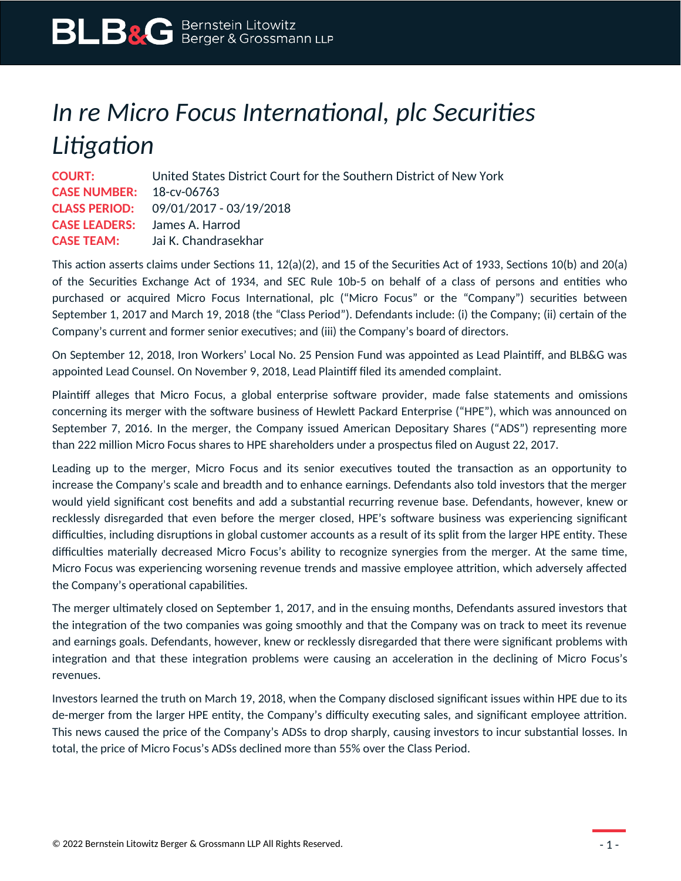## *In re Micro Focus International, plc Securities Litigation*

| <b>COURT:</b>                   | United States District Court for the Southern District of New York |
|---------------------------------|--------------------------------------------------------------------|
| <b>CASE NUMBER:</b> 18-cv-06763 |                                                                    |
|                                 | <b>CLASS PERIOD:</b> 09/01/2017 - 03/19/2018                       |
|                                 | <b>CASE LEADERS:</b> James A. Harrod                               |
| <b>CASE TEAM:</b>               | - Jai K. Chandrasekhar                                             |

This action asserts claims under Sections 11, 12(a)(2), and 15 of the Securities Act of 1933, Sections 10(b) and 20(a) of the Securities Exchange Act of 1934, and SEC Rule 10b-5 on behalf of a class of persons and entities who purchased or acquired Micro Focus International, plc ("Micro Focus" or the "Company") securities between September 1, 2017 and March 19, 2018 (the "Class Period"). Defendants include: (i) the Company; (ii) certain of the Company's current and former senior executives; and (iii) the Company's board of directors.

On September 12, 2018, Iron Workers' Local No. 25 Pension Fund was appointed as Lead Plaintiff, and BLB&G was appointed Lead Counsel. On November 9, 2018, Lead Plaintiff filed its amended complaint.

Plaintiff alleges that Micro Focus, a global enterprise software provider, made false statements and omissions concerning its merger with the software business of Hewlett Packard Enterprise ("HPE"), which was announced on September 7, 2016. In the merger, the Company issued American Depositary Shares ("ADS") representing more than 222 million Micro Focus shares to HPE shareholders under a prospectus filed on August 22, 2017.

Leading up to the merger, Micro Focus and its senior executives touted the transaction as an opportunity to increase the Company's scale and breadth and to enhance earnings. Defendants also told investors that the merger would yield significant cost benefits and add a substantial recurring revenue base. Defendants, however, knew or recklessly disregarded that even before the merger closed, HPE's software business was experiencing significant difficulties, including disruptions in global customer accounts as a result of its split from the larger HPE entity. These difficulties materially decreased Micro Focus's ability to recognize synergies from the merger. At the same time, Micro Focus was experiencing worsening revenue trends and massive employee attrition, which adversely affected the Company's operational capabilities.

The merger ultimately closed on September 1, 2017, and in the ensuing months, Defendants assured investors that the integration of the two companies was going smoothly and that the Company was on track to meet its revenue and earnings goals. Defendants, however, knew or recklessly disregarded that there were significant problems with integration and that these integration problems were causing an acceleration in the declining of Micro Focus's revenues.

Investors learned the truth on March 19, 2018, when the Company disclosed significant issues within HPE due to its de-merger from the larger HPE entity, the Company's difficulty executing sales, and significant employee attrition. This news caused the price of the Company's ADSs to drop sharply, causing investors to incur substantial losses. In total, the price of Micro Focus's ADSs declined more than 55% over the Class Period.